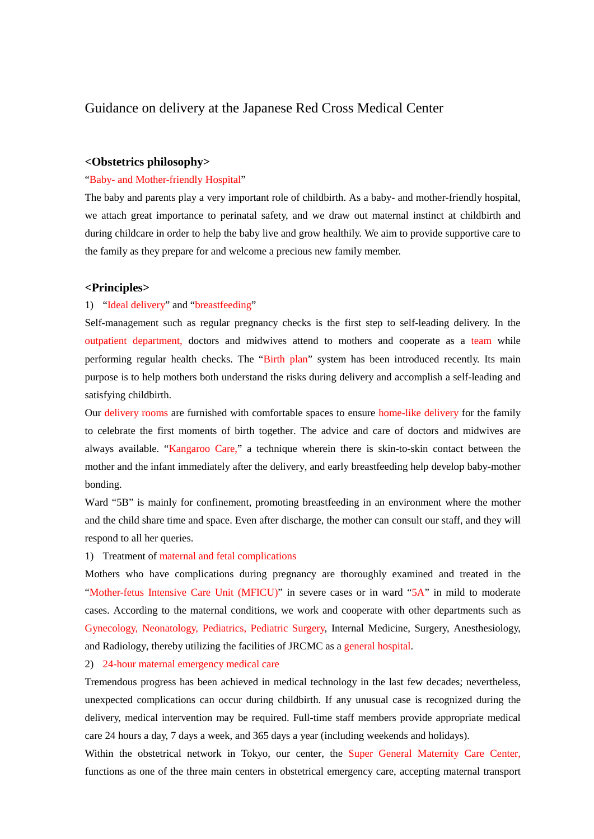# Guidance on delivery at the Japanese Red Cross Medical Center

## **<Obstetrics philosophy>**

### "Baby- and Mother-friendly Hospital"

The baby and parents play a very important role of childbirth. As a baby- and mother-friendly hospital, we attach great importance to perinatal safety, and we draw out maternal instinct at childbirth and during childcare in order to help the baby live and grow healthily. We aim to provide supportive care to the family as they prepare for and welcome a precious new family member.

#### **<Principles>**

#### 1) "Ideal delivery" and "breastfeeding"

Self-management such as regular pregnancy checks is the first step to self-leading delivery. In the outpatient department, doctors and midwives attend to mothers and cooperate as a team while performing regular health checks. The "Birth plan" system has been introduced recently. Its main purpose is to help mothers both understand the risks during delivery and accomplish a self-leading and satisfying childbirth.

Our delivery rooms are furnished with comfortable spaces to ensure home-like delivery for the family to celebrate the first moments of birth together. The advice and care of doctors and midwives are always available. "Kangaroo Care," a technique wherein there is skin-to-skin contact between the mother and the infant immediately after the delivery, and early breastfeeding help develop baby-mother bonding.

Ward "5B" is mainly for confinement, promoting breastfeeding in an environment where the mother and the child share time and space. Even after discharge, the mother can consult our staff, and they will respond to all her queries.

#### 1) Treatment of maternal and fetal complications

Mothers who have complications during pregnancy are thoroughly examined and treated in the "Mother-fetus Intensive Care Unit (MFICU)" in severe cases or in ward "5A" in mild to moderate cases. According to the maternal conditions, we work and cooperate with other departments such as Gynecology, Neonatology, Pediatrics, Pediatric Surgery, Internal Medicine, Surgery, Anesthesiology, and Radiology, thereby utilizing the facilities of JRCMC as a general hospital.

## 2) 24-hour maternal emergency medical care

Tremendous progress has been achieved in medical technology in the last few decades; nevertheless, unexpected complications can occur during childbirth. If any unusual case is recognized during the delivery, medical intervention may be required. Full-time staff members provide appropriate medical care 24 hours a day, 7 days a week, and 365 days a year (including weekends and holidays).

Within the obstetrical network in Tokyo, our center, the Super General Maternity Care Center, functions as one of the three main centers in obstetrical emergency care, accepting maternal transport